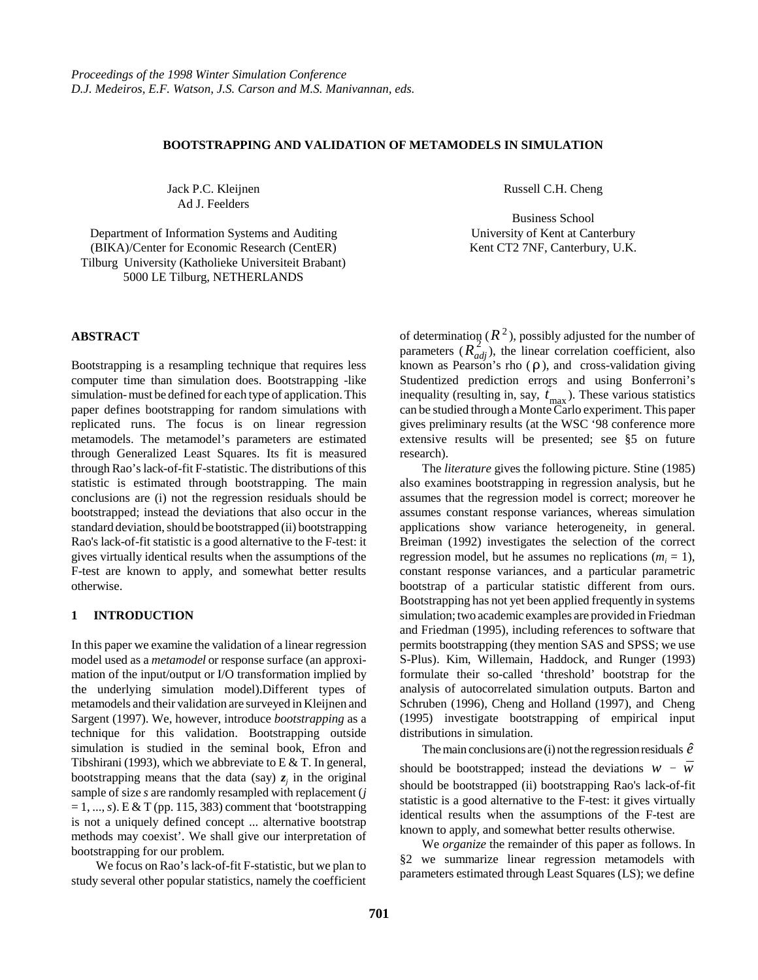# **BOOTSTRAPPING AND VALIDATION OF METAMODELS IN SIMULATION**

Jack P.C. Kleijnen Ad J. Feelders

Department of Information Systems and Auditing (BIKA)/Center for Economic Research (CentER) Tilburg University (Katholieke Universiteit Brabant) 5000 LE Tilburg, NETHERLANDS

#### **ABSTRACT**

Bootstrapping is a resampling technique that requires less computer time than simulation does. Bootstrapping -like simulation- must be defined for each type of application. This paper defines bootstrapping for random simulations with replicated runs. The focus is on linear regression metamodels. The metamodel's parameters are estimated through Generalized Least Squares. Its fit is measured through Rao's lack-of-fit F-statistic. The distributions of this statistic is estimated through bootstrapping. The main conclusions are (i) not the regression residuals should be bootstrapped; instead the deviations that also occur in the standard deviation, should be bootstrapped (ii) bootstrapping Rao's lack-of-fit statistic is a good alternative to the F-test: it gives virtually identical results when the assumptions of the F-test are known to apply, and somewhat better results otherwise.

### **1 INTRODUCTION**

In this paper we examine the validation of a linear regression model used as a *metamodel* or response surface (an approximation of the input/output or I/O transformation implied by the underlying simulation model).Different types of metamodels and their validation are surveyed in Kleijnen and Sargent (1997). We, however, introduce *bootstrapping* as a technique for this validation. Bootstrapping outside simulation is studied in the seminal book, Efron and Tibshirani (1993), which we abbreviate to E  $&$  T. In general, bootstrapping means that the data (say)  $z_i$  in the original sample of size *s* are randomly resampled with replacement (*j*  $= 1, ..., s$ ). E & T (pp. 115, 383) comment that 'bootstrapping is not a uniquely defined concept ... alternative bootstrap methods may coexist'. We shall give our interpretation of bootstrapping for our problem.

 We focus on Rao's lack-of-fit F-statistic, but we plan to study several other popular statistics, namely the coefficient Russell C.H. Cheng

Business School University of Kent at Canterbury Kent CT2 7NF, Canterbury, U.K.

of determination  $(R^2)$ , possibly adjusted for the number of parameters  $(R_{adj}^2)$ , the linear correlation coefficient, also known as Pearson's rho  $(\rho)$ , and cross-validation giving Studentized prediction errors and using Bonferroni's inequality (resulting in, say,  $t_{\text{max}}$ ). These various statistics can be studied through a Monte Carlo experiment. This paper gives preliminary results (at the WSC '98 conference more extensive results will be presented; see §5 on future research).

The *literature* gives the following picture. Stine (1985) also examines bootstrapping in regression analysis, but he assumes that the regression model is correct; moreover he assumes constant response variances, whereas simulation applications show variance heterogeneity, in general. Breiman (1992) investigates the selection of the correct regression model, but he assumes no replications  $(m<sub>i</sub> = 1)$ , constant response variances, and a particular parametric bootstrap of a particular statistic different from ours. Bootstrapping has not yet been applied frequently in systems simulation; two academic examples are provided in Friedman and Friedman (1995), including references to software that permits bootstrapping (they mention SAS and SPSS; we use S-Plus). Kim, Willemain, Haddock, and Runger (1993) formulate their so-called 'threshold' bootstrap for the analysis of autocorrelated simulation outputs. Barton and Schruben (1996), Cheng and Holland (1997), and Cheng (1995) investigate bootstrapping of empirical input distributions in simulation.

The main conclusions are (i) not the regression residuals  $\hat{e}$ should be bootstrapped; instead the deviations  $w - \bar{w}$ should be bootstrapped (ii) bootstrapping Rao's lack-of-fit statistic is a good alternative to the F-test: it gives virtually identical results when the assumptions of the F-test are known to apply, and somewhat better results otherwise.

We *organize* the remainder of this paper as follows. In §2 we summarize linear regression metamodels with parameters estimated through Least Squares (LS); we define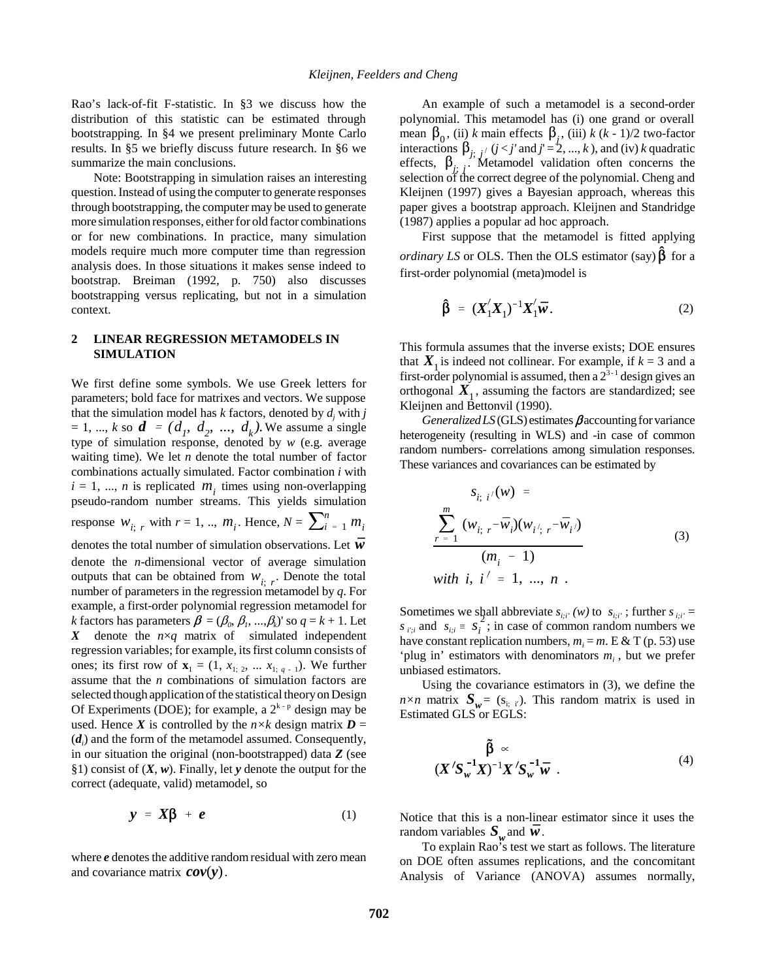Rao's lack-of-fit F-statistic. In §3 we discuss how the distribution of this statistic can be estimated through bootstrapping. In §4 we present preliminary Monte Carlo results. In §5 we briefly discuss future research. In §6 we summarize the main conclusions.

Note: Bootstrapping in simulation raises an interesting question. Instead of using the computer to generate responses through bootstrapping, the computer may be used to generate more simulation responses, either for old factor combinations or for new combinations. In practice, many simulation models require much more computer time than regression analysis does. In those situations it makes sense indeed to bootstrap. Breiman (1992, p. 750) also discusses bootstrapping versus replicating, but not in a simulation context.

# **2 LINEAR REGRESSION METAMODELS IN SIMULATION**

We first define some symbols. We use Greek letters for parameters; bold face for matrixes and vectors. We suppose that the simulation model has  $k$  factors, denoted by  $d_j$  with  $j$  $= 1, ..., k$  so  $d = (d_1, d_2, ..., d_k)$ . We assume a single type of simulation response, denoted by *w* (e.g. average waiting time). We let  $n$  denote the total number of factor combinations actually simulated. Factor combination *i* with  $i = 1, \ldots, n$  is replicated  $m_i$ ; times using non-overlapping pseudo-random number streams. This yields simulation response  $W_{i; r}$  with  $r = 1, ..., m_i$ . Hence,  $N = \sum_{i=1}^{n} m_i$ denotes the total number of simulation observations. Let  $\vec{w}$ denote the *n*-dimensional vector of average simulation outputs that can be obtained from  $W_{i; r}$ . Denote the total number of parameters in the regression metamodel by *q*. For example, a first-order polynomial regression metamodel for *k* factors has parameters  $\beta = (\beta_0, \beta_1, ..., \beta_k)$ ' so  $q = k + 1$ . Let *X* denote the *n*×*q* matrix of simulated independent regression variables; for example, its first column consists of ones; its first row of  ${\bf x}_1 = (1, x_{1, 2}, \dots, x_{1, q-1})$ . We further assume that the *n* combinations of simulation factors are selected though application of the statistical theory on Design Of Experiments (DOE); for example, a  $2^{k-p}$  design may be used. Hence *X* is controlled by the  $n \times k$  design matrix  $D =$  $(d_i)$  and the form of the metamodel assumed. Consequently, in our situation the original (non-bootstrapped) data *Z* (see §1) consist of (*X*, *w*). Finally, let *y* denote the output for the correct (adequate, valid) metamodel, so

$$
y = X\beta + e \tag{1}
$$

where *e* denotes the additive random residual with zero mean and covariance matrix  $\mathbf{cov}(y)$ .

An example of such a metamodel is a second-order polynomial. This metamodel has (i) one grand or overall mean  $\beta_0$ , (ii) *k* main effects  $\beta_j$ , (iii) *k* (*k* - 1)/2 two-factor interactions  $\beta_{j; j'}$  (*j* < *j'* and *j*' = 2, ..., *k*), and (iv) *k* quadratic effects,  $\beta_{j}$ ; *j*. Metamodel validation often concerns the selection of the correct degree of the polynomial. Cheng and Kleijnen (1997) gives a Bayesian approach, whereas this paper gives a bootstrap approach. Kleijnen and Standridge (1987) applies a popular ad hoc approach.

First suppose that the metamodel is fitted applying *ordinary LS* or OLS. Then the OLS estimator (say)  $\beta$  for a first-order polynomial (meta)model is

$$
\hat{\beta} = (X_1'X_1)^{-1}X_1'\bar{w}.
$$
\n(2)

This formula assumes that the inverse exists; DOE ensures that  $X_i$  is indeed not collinear. For example, if  $k = 3$  and a first-order polynomial is assumed, then a  $2^{3-1}$  design gives an orthogonal  $X_1$ , assuming the factors are standardized; see Kleijnen and Bettonvil (1990).

*Generalized LS* (GLS) estimates  $\beta$  accounting for variance heterogeneity (resulting in WLS) and -in case of common random numbers- correlations among simulation responses. These variances and covariances can be estimated by

$$
S_{i; i'}(w) =
$$
  
\n
$$
\sum_{r=1}^{m} (w_{i; r} - \bar{w}_{i})(w_{i'; r} - \bar{w}_{i'})
$$
  
\n
$$
(m_{i} - 1)
$$
  
\nwith i, i' = 1, ..., n .

Sometimes we shall abbreviate  $s_{i;i'}(w)$  to  $s_{i;i'}$ ; further  $s_{i;i'} =$ *s*  $s_{i'i}$  and  $s_{i:i} \equiv s_i^2$ ; in case of common random numbers we have constant replication numbers,  $m_i = m$ . E & T (p. 53) use 'plug in' estimators with denominators *mi* , but we prefer unbiased estimators.

Using the covariance estimators in (3), we define the  $n \times n$  matrix  $S_w = (s_{i,i})$ . This random matrix is used in *Estimated GLS* or *EGLS*:

$$
\tilde{\beta} \propto
$$
  

$$
(X'S_{w}^{-1}X)^{-1}X'S_{w}^{-1}\bar{w} .
$$
 (4)

Notice that this is a non-linear estimator since it uses the random variables  $S_w$  and  $\bar{w}$ .<br>To explain Rao's test we start as follows. The literature

on DOE often assumes replications, and the concomitant Analysis of Variance (ANOVA) assumes normally,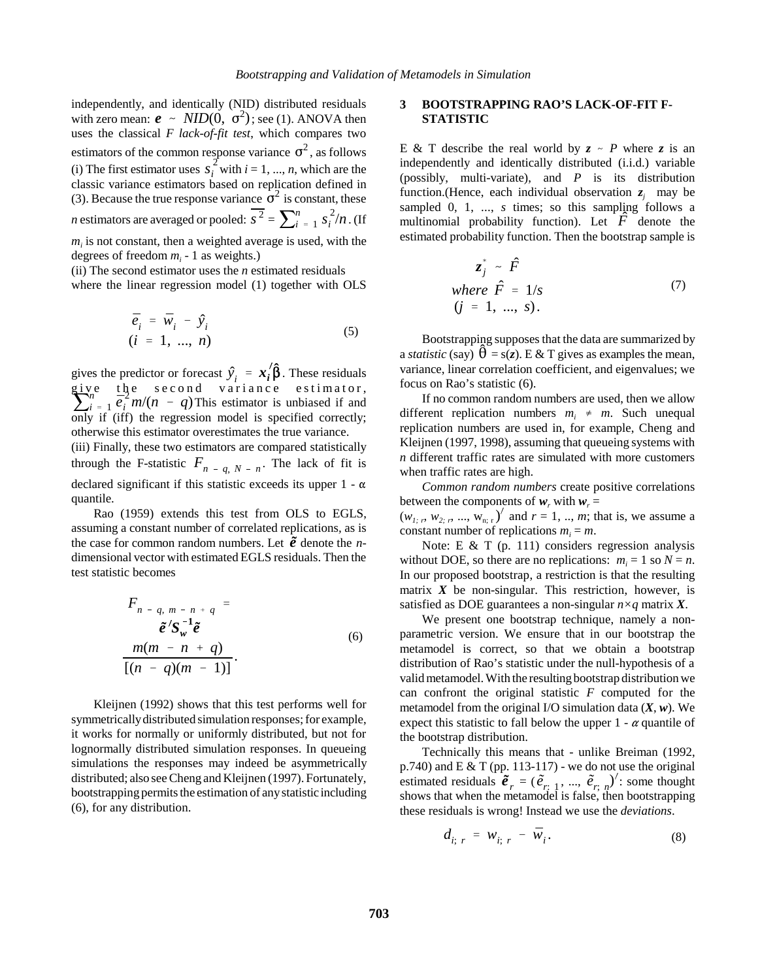independently, and identically (NID) distributed residuals with zero mean:  $\mathbf{e} \sim \text{NID}(0, \sigma^2)$ ; see (1). ANOVA then uses the classical *F lack-of-fit test*, which compares two estimators of the common response variance  $\sigma^2$ , as follows (i) The first estimator uses  $s_i^2$  with  $i = 1, ..., n$ , which are the classic variance estimators based on replication defined in (3). Because the true response variance  $\sigma^2$  is constant, these *n* estimators are averaged or pooled:  $\overline{s^2} = \sum_{i=1}^{n} s_i^2/n$ . (If  $m<sub>i</sub>$  is not constant, then a weighted average is used, with the degrees of freedom  $m_i$  - 1 as weights.)

(ii) The second estimator uses the *n* estimated residuals

where the linear regression model (1) together with OLS

$$
\begin{aligned}\n\bar{e}_i &= \bar{w}_i - \hat{y}_i \\
(i &= 1, ..., n)\n\end{aligned} \n\tag{5}
$$

gives the predictor or forecast  $\hat{y}_i = x_i / \hat{\beta}$ . These residuals give the second variance estimator,<br> $\sum_{i=1}^{n} \frac{1}{e_i^2} m/(n - q)$  This estimator is unbiased if and only if (iff) the regression model is specified correctly; otherwise this estimator overestimates the true variance.

(iii) Finally, these two estimators are compared statistically through the F-statistic  $F_{n-q, N-n}$ . The lack of fit is declared significant if this statistic exceeds its upper  $1 - \alpha$ quantile.

Rao (1959) extends this test from OLS to EGLS, assuming a constant number of correlated replications*,* as is the case for common random numbers. Let  $\tilde{e}$  denote the *n*dimensional vector with estimated EGLS residuals. Then the test statistic becomes

$$
F_{n-q, m-n+q} =
$$
  
\n
$$
\tilde{e}'S_{w}^{-1}\tilde{e}
$$
  
\n
$$
\frac{m(m-n+q)}{[(n-q)(m-1)]}.
$$
\n(6)

Kleijnen (1992) shows that this test performs well for symmetrically distributed simulation responses; for example, it works for normally or uniformly distributed, but not for lognormally distributed simulation responses. In queueing simulations the responses may indeed be asymmetrically distributed; also see Cheng and Kleijnen (1997). Fortunately, bootstrapping permits the estimation of any statistic including (6), for any distribution.

## **3 BOOTSTRAPPING RAO'S LACK-OF-FIT F-STATISTIC**

E & T describe the real world by  $z \sim P$  where z is an independently and identically distributed (i.i.d.) variable (possibly, multi-variate), and *P* is its distribution function.(Hence, each individual observation  $z_i$  may be sampled 0, 1, ..., *s* times; so this sampling follows a multinomial probability function). Let  $F$  denote the estimated probability function. Then the bootstrap sample is

$$
z_j^* \sim \hat{F}
$$
  
where  $\hat{F} = 1/s$  (7)  
 $(j = 1, ..., s)$ .

Bootstrapping supposes that the data are summarized by a *statistic* (say)  $\theta = s(z)$ . E & T gives as examples the mean, variance, linear correlation coefficient, and eigenvalues; we focus on Rao's statistic (6).

If no common random numbers are used, then we allow different replication numbers  $m_i \neq m$ . Such unequal replication numbers are used in, for example, Cheng and Kleijnen (1997, 1998), assuming that queueing systems with *n* different traffic rates are simulated with more customers when traffic rates are high.

*Common random numbers* create positive correlations between the components of  $w_r$  with  $w_r =$  $(w_{1, r}, w_{2, r}, ..., w_{n; r})'$  and  $r = 1, ..., m$ ; that is, we assume a

constant number of replications  $m_i = m$ .

Note: E & T (p. 111) considers regression analysis without DOE, so there are no replications:  $m_i = 1$  so  $N = n$ . In our proposed bootstrap, a restriction is that the resulting matrix  $X$  be non-singular. This restriction, however, is satisfied as DOE guarantees a non-singular *n×q* matrix *X*.

We present one bootstrap technique, namely a nonparametric version. We ensure that in our bootstrap the metamodel is correct, so that we obtain a bootstrap distribution of Rao's statistic under the null-hypothesis of a valid metamodel. With the resulting bootstrap distribution we can confront the original statistic *F* computed for the metamodel from the original I/O simulation data (*X*, *w*). We expect this statistic to fall below the upper  $1 - \alpha$  quantile of the bootstrap distribution.

Technically this means that - unlike Breiman (1992, p.740) and  $E \& T$  (pp. 113-117) - we do not use the original estimated residuals  $\tilde{\mathbf{e}}_r = (\tilde{e}_{r,1}, ..., \tilde{e}_{r,n})'$ : some thought shows that when the metamodel is false, then bootstrapping these residuals is wrong! Instead we use the *deviations*.

$$
d_{i; r} = w_{i; r} - \bar{w}_i. \tag{8}
$$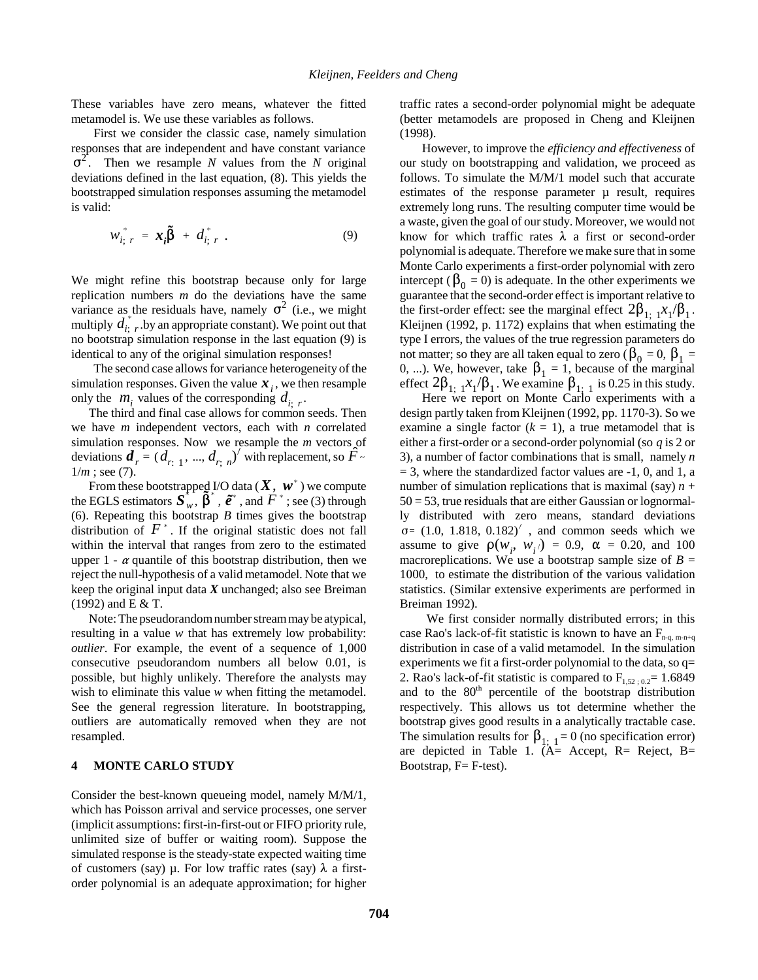These variables have zero means, whatever the fitted metamodel is. We use these variables as follows.

First we consider the classic case, namely simulation responses that are independent and have constant variance  $\sigma^2$ . Then we resample *N* values from the *N* original deviations defined in the last equation, (8). This yields the bootstrapped simulation responses assuming the metamodel is valid:

$$
w_{i; r}^* = \boldsymbol{x}_i \boldsymbol{\tilde{\beta}} + d_{i; r}^* \t\t(9)
$$

We might refine this bootstrap because only for large replication numbers *m* do the deviations have the same variance as the residuals have, namely  $\sigma^2$  (i.e., we might variance as the residuals have, hallery  $\sigma$  (i.e., we finglit multiply  $d_{i, r}^*$ , by an appropriate constant). We point out that no bootstrap simulation response in the last equation (9) is identical to any of the original simulation responses!

The second case allows for variance heterogeneity of the simulation responses. Given the value  $x_i$ , we then resample only the  $m_i$  values of the corresponding  $d_{i; r}$ .<br>The third and final case allows for common seeds. Then

we have *m* independent vectors, each with *n* correlated simulation responses. Now we resample the  $m$  vectors of deviations  $\boldsymbol{d}_r = (d_{r,1}, ..., d_{r,\overline{n}})'$  with replacement, so  $\hat{F}$  $1/m$ ; see (7).

From these bootstrapped I/O data  $(X, w^*)$  we compute the EGLS estimators  $S_w$ ,  $\hat{\beta}^*$ ,  $\hat{e}^*$ , and  $F^*$ ; see (3) through (6). Repeating this bootstrap *B* times gives the bootstrap distribution of  $F^*$ . If the original statistic does not fall within the interval that ranges from zero to the estimated upper  $1 - \alpha$  quantile of this bootstrap distribution, then we reject the null-hypothesis of a valid metamodel. Note that we keep the original input data *X* unchanged; also see Breiman (1992) and E & T.

Note: The pseudorandom number stream may be atypical, resulting in a value *w* that has extremely low probability: *outlier*. For example, the event of a sequence of 1,000 consecutive pseudorandom numbers all below 0.01, is possible, but highly unlikely. Therefore the analysts may wish to eliminate this value *w* when fitting the metamodel. See the general regression literature. In bootstrapping, outliers are automatically removed when they are not resampled.

### **4 MONTE CARLO STUDY**

Consider the best-known queueing model, namely M/M/1, which has Poisson arrival and service processes, one server (implicit assumptions: first-in-first-out or FIFO priority rule, unlimited size of buffer or waiting room). Suppose the simulated response is the steady-state expected waiting time of customers (say)  $\mu$ . For low traffic rates (say)  $\lambda$  a firstorder polynomial is an adequate approximation; for higher traffic rates a second-order polynomial might be adequate (better metamodels are proposed in Cheng and Kleijnen (1998).

However, to improve the *efficiency and effectiveness* of our study on bootstrapping and validation, we proceed as follows. To simulate the M/M/1 model such that accurate estimates of the response parameter  $\mu$  result, requires extremely long runs. The resulting computer time would be a waste, given the goal of our study. Moreover, we would not know for which traffic rates  $\lambda$  a first or second-order polynomial is adequate. Therefore we make sure that in some Monte Carlo experiments a first-order polynomial with zero intercept ( $\beta_0 = 0$ ) is adequate. In the other experiments we guarantee that the second-order effect is important relative to the first-order effect: see the marginal effect  $2\beta_{1:1}x_1/\beta_1$ . Kleijnen (1992, p. 1172) explains that when estimating the type I errors, the values of the true regression parameters do not matter; so they are all taken equal to zero (  $\beta_0 = 0, \beta_1 = 0$ 0, ...). We, however, take  $\beta_1 = 1$ , because of the marginal

effect  $2\beta_{1;\;1}x_1/\beta_1$ . We examine  $\beta_{1;\;1}$  is 0.25 in this study.<br>Here we report on Monte Carlo experiments with a design partly taken from Kleijnen (1992, pp. 1170-3). So we examine a single factor  $(k = 1)$ , a true metamodel that is either a first-order or a second-order polynomial (so *q* is 2 or 3), a number of factor combinations that is small, namely *n*  $= 3$ , where the standardized factor values are  $-1$ , 0, and 1, a number of simulation replications that is maximal (say)  $n +$  $50 = 53$ , true residuals that are either Gaussian or lognormally distributed with zero means, standard deviations  $\sigma = (1.0, 1.818, 0.182)^\prime$ , and common seeds which we  $\sigma$ = (1.0, 1.818, 0.182)<sup>'</sup>, and common seeds which we assume to give  $\rho(w_i, w_i) = 0.9, \alpha = 0.20, \text{ and } 100$ macroreplications. We use a bootstrap sample size of  $B =$ 1000, to estimate the distribution of the various validation statistics. (Similar extensive experiments are performed in Breiman 1992).

 We first consider normally distributed errors; in this case Rao's lack-of-fit statistic is known to have an  $F_{n-q, m-n+q}$ distribution in case of a valid metamodel. In the simulation experiments we fit a first-order polynomial to the data, so q= 2. Rao's lack-of-fit statistic is compared to  $F_{1,52 : 0.2} = 1.6849$ and to the 80<sup>th</sup> percentile of the bootstrap distribution respectively. This allows us tot determine whether the bootstrap gives good results in a analytically tractable case. The simulation results for  $\beta_{1;\;1} = 0$  (no specification error) are depicted in Table 1. (A= Accept, R= Reject, B= Bootstrap, F= F-test).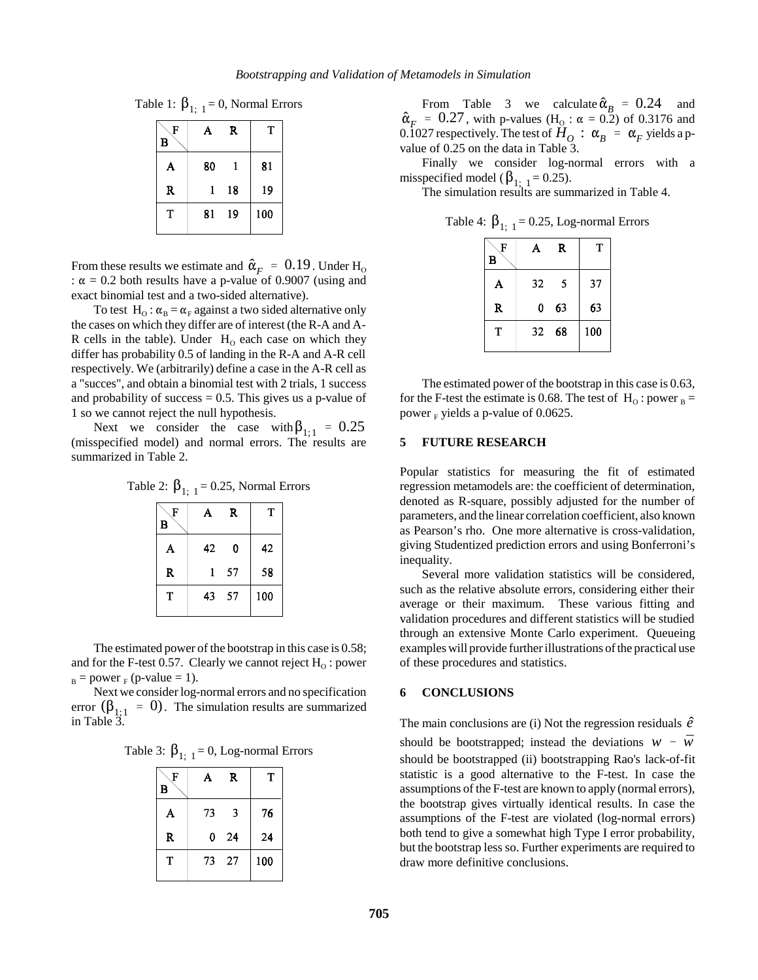Table 1: 
$$
\beta_{1; 1} = 0
$$
, Normal Errors

| А  | R  | T   |
|----|----|-----|
| 80 | 1  | 81  |
| 1  | 18 | 19  |
| 81 | 19 | 100 |
|    |    |     |

From these results we estimate and  $\hat{\alpha}_F = 0.19$ . Under H<sub>O</sub> :  $\alpha = 0.2$  both results have a p-value of 0.9007 (using and exact binomial test and a two-sided alternative).

To test H<sub>o</sub>:  $\alpha_B = \alpha_F$  against a two sided alternative only the cases on which they differ are of interest (the R-A and A-R cells in the table). Under  $H_0$  each case on which they differ has probability 0.5 of landing in the R-A and A-R cell respectively. We (arbitrarily) define a case in the A-R cell as a "succes", and obtain a binomial test with 2 trials, 1 success and probability of success  $= 0.5$ . This gives us a p-value of 1 so we cannot reject the null hypothesis.

Next we consider the case with  $\beta_{1;1} = 0.25$ (misspecified model) and normal errors. The results are summarized in Table 2.

| Table 2: $\beta_{1;\;1}$ = 0.25, Normal Errors |  |  |  |
|------------------------------------------------|--|--|--|
|------------------------------------------------|--|--|--|

| - ,    |    |     |     |
|--------|----|-----|-----|
| F<br>в | A  | R   | T   |
| A      | 42 | 0   | 42  |
| R      |    | 57  | 58  |
| T      | 43 | -57 | 100 |

The estimated power of the bootstrap in this case is 0.58; and for the F-test 0.57. Clearly we cannot reject  $H_0$  : power  $B_B$  = power  $F_F$  (p-value = 1).

Next we consider log-normal errors and no specification error  $(\beta_{1;1} = 0)$ . The simulation results are summarized in Table 3.

|  |  |  | Table 3: $\beta_{1; 1} = 0$ , Log-normal Errors |  |
|--|--|--|-------------------------------------------------|--|
|--|--|--|-------------------------------------------------|--|

| F<br>в | A  | R   | Т   |
|--------|----|-----|-----|
| A      | 73 | 3   | 76  |
| R      | 0  | -24 | 24  |
| т      | 73 | -27 | 100 |

From Table 3 we calculate  $\hat{\alpha}_B = 0.24$  and  $\hat{\alpha}_F = 0.27$ , with p-values (H<sub>O</sub>:  $\alpha = 0.2$ ) of 0.3176 and 0.1027 respectively. The test of  $H_0$ :  $\alpha_B = \alpha_F$  yields a pvalue of 0.25 on the data in Table 3.

Finally we consider log-normal errors with a misspecified model ( $\beta_{1;\;1} = 0.25$ ).<br>The simulation results are summarized in Table 4.

Table 4:  $\beta_{1:1} = 0.25$ , Log-normal Errors

| F<br>B | А  | R     | T   |
|--------|----|-------|-----|
| A      | 32 | 5     | 37  |
| R      | 0  | - 63  | 63  |
| T      |    | 32 68 | 100 |

The estimated power of the bootstrap in this case is 0.63, for the F-test the estimate is 0.68. The test of  $H_0$ : power  $_B =$ power  $_F$  yields a p-value of 0.0625.

#### **5 FUTURE RESEARCH**

Popular statistics for measuring the fit of estimated regression metamodels are: the coefficient of determination, denoted as R-square, possibly adjusted for the number of parameters, and the linear correlation coefficient, also known as Pearson's rho. One more alternative is cross-validation, giving Studentized prediction errors and using Bonferroni's inequality.

Several more validation statistics will be considered, such as the relative absolute errors, considering either their average or their maximum. These various fitting and validation procedures and different statistics will be studied through an extensive Monte Carlo experiment. Queueing examples will provide further illustrations of the practical use of these procedures and statistics.

### **6 CONCLUSIONS**

The main conclusions are (i) Not the regression residuals  $\hat{e}$ should be bootstrapped; instead the deviations  $w - \bar{w}$ should be bootstrapped (ii) bootstrapping Rao's lack-of-fit statistic is a good alternative to the F-test. In case the assumptions of the F-test are known to apply (normal errors), the bootstrap gives virtually identical results. In case the assumptions of the F-test are violated (log-normal errors) both tend to give a somewhat high Type I error probability, but the bootstrap less so. Further experiments are required to draw more definitive conclusions.